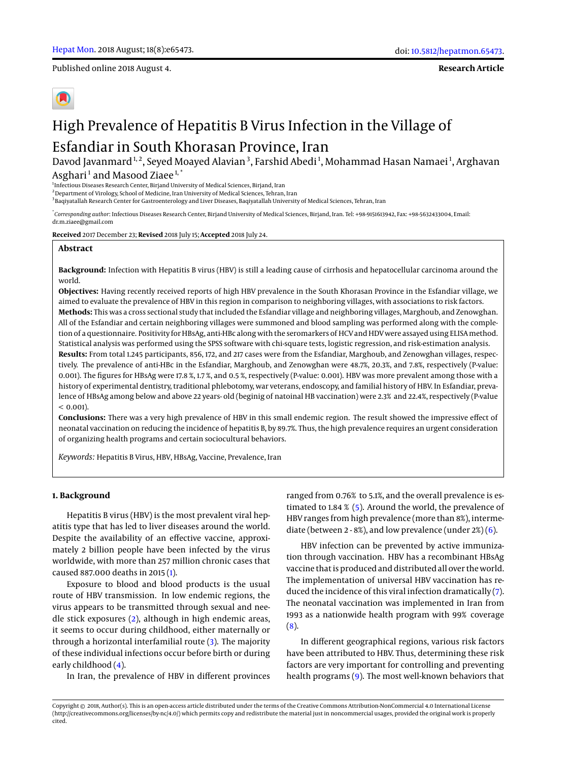Published online 2018 August 4.

**Research Article**

# High Prevalence of Hepatitis B Virus Infection in the Village of

# Esfandiar in South Khorasan Province, Iran

Davod Javanmard<sup>1,2</sup>, Seyed Moayed Alavian<sup>3</sup>, Farshid Abedi<sup>1</sup>, Mohammad Hasan Namaei<sup>1</sup>, Arghavan Asghari<sup>1</sup> and Masood Ziaee<sup>1,\*</sup>

<sup>1</sup>Infectious Diseases Research Center, Birjand University of Medical Sciences, Birjand, Iran

<sup>2</sup> Department of Virology, School of Medicine, Iran University of Medical Sciences, Tehran, Iran

<sup>3</sup>Baqiyatallah Research Center for Gastroenterology and Liver Diseases, Baqiyatallah University of Medical Sciences, Tehran, Iran

\* *Corresponding author*: Infectious Diseases Research Center, Birjand University of Medical Sciences, Birjand, Iran. Tel: +98-9151613942, Fax: +98-5632433004, Email: dr.m.ziaee@gmail.com

**Received** 2017 December 23; **Revised** 2018 July 15; **Accepted** 2018 July 24.

#### **Abstract**

**Background:** Infection with Hepatitis B virus (HBV) is still a leading cause of cirrhosis and hepatocellular carcinoma around the world.

**Objectives:** Having recently received reports of high HBV prevalence in the South Khorasan Province in the Esfandiar village, we aimed to evaluate the prevalence of HBV in this region in comparison to neighboring villages, with associations to risk factors. **Methods:** This was a cross sectional study that included the Esfandiar village and neighboring villages, Marghoub, and Zenowghan. All of the Esfandiar and certain neighboring villages were summoned and blood sampling was performed along with the completion of a questionnaire. Positivity for HBsAg, anti-HBc along with the seromarkers of HCV and HDV were assayed using ELISA method. Statistical analysis was performed using the SPSS software with chi-square tests, logistic regression, and risk-estimation analysis. **Results:** From total 1.245 participants, 856, 172, and 217 cases were from the Esfandiar, Marghoub, and Zenowghan villages, respectively. The prevalence of anti-HBc in the Esfandiar, Marghoub, and Zenowghan were 48.7%, 20.3%, and 7.8%, respectively (P-value: 0.001). The figures for HBsAg were 17.8 %, 1.7 %, and 0.5 %, respectively (P-value: 0.001). HBV was more prevalent among those with a history of experimental dentistry, traditional phlebotomy, war veterans, endoscopy, and familial history of HBV. In Esfandiar, prevalence of HBsAg among below and above 22 years- old (beginig of natoinal HB vaccination) were 2.3% and 22.4%, respectively (P-value  $< 0.001$ ).

**Conclusions:** There was a very high prevalence of HBV in this small endemic region. The result showed the impressive effect of neonatal vaccination on reducing the incidence of hepatitis B, by 89.7%. Thus, the high prevalence requires an urgent consideration of organizing health programs and certain sociocultural behaviors.

*Keywords:* Hepatitis B Virus, HBV, HBsAg, Vaccine, Prevalence, Iran

#### **1. Background**

Hepatitis B virus (HBV) is the most prevalent viral hepatitis type that has led to liver diseases around the world. Despite the availability of an effective vaccine, approximately 2 billion people have been infected by the virus worldwide, with more than 257 million chronic cases that caused 887.000 deaths in 2015 [\(1\)](#page-6-0).

Exposure to blood and blood products is the usual route of HBV transmission. In low endemic regions, the virus appears to be transmitted through sexual and needle stick exposures [\(2\)](#page-6-1), although in high endemic areas, it seems to occur during childhood, either maternally or through a horizontal interfamilial route [\(3\)](#page-6-2). The majority of these individual infections occur before birth or during early childhood [\(4\)](#page-6-3).

In Iran, the prevalence of HBV in different provinces

ranged from 0.76% to 5.1%, and the overall prevalence is estimated to 1.84 % [\(5\)](#page-6-4). Around the world, the prevalence of HBV ranges from high prevalence (more than 8%), intermediate (between 2 - 8%), and low prevalence (under  $2\%$ ) [\(6\)](#page-6-5).

HBV infection can be prevented by active immunization through vaccination. HBV has a recombinant HBsAg vaccine that is produced and distributed all over the world. The implementation of universal HBV vaccination has reduced the incidence of this viral infection dramatically [\(7\)](#page-7-0). The neonatal vaccination was implemented in Iran from 1993 as a nationwide health program with 99% coverage  $(8).$  $(8).$ 

In different geographical regions, various risk factors have been attributed to HBV. Thus, determining these risk factors are very important for controlling and preventing health programs [\(9\)](#page-7-2). The most well-known behaviors that

Copyright © 2018, Author(s). This is an open-access article distributed under the terms of the Creative Commons Attribution-NonCommercial 4.0 International License (http://creativecommons.org/licenses/by-nc/4.0/) which permits copy and redistribute the material just in noncommercial usages, provided the original work is properly cited.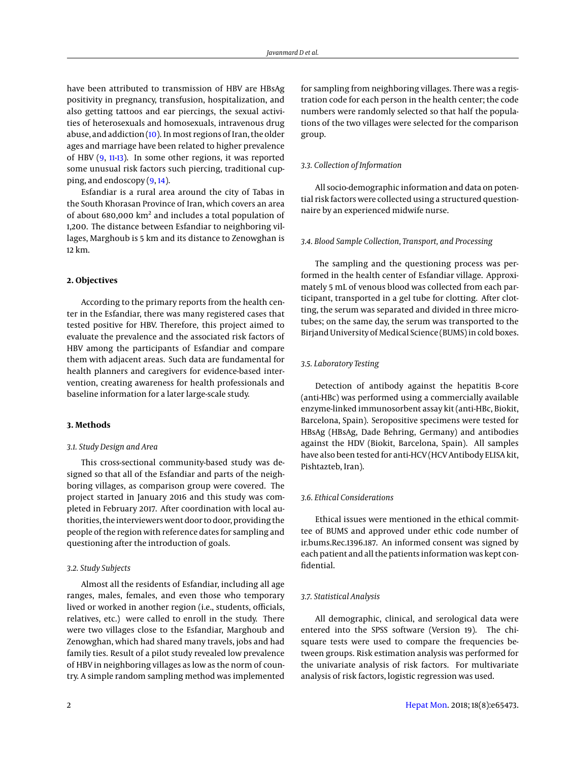have been attributed to transmission of HBV are HBsAg positivity in pregnancy, transfusion, hospitalization, and also getting tattoos and ear piercings, the sexual activities of heterosexuals and homosexuals, intravenous drug abuse, and addiction [\(10\)](#page-7-3). In most regions of Iran, the older ages and marriage have been related to higher prevalence of HBV [\(9,](#page-7-2) [11](#page-7-4)[-13\)](#page-7-5). In some other regions, it was reported some unusual risk factors such piercing, traditional cupping, and endoscopy [\(9,](#page-7-2) [14\)](#page-7-6).

Esfandiar is a rural area around the city of Tabas in the South Khorasan Province of Iran, which covers an area of about 680,000 km<sup>2</sup> and includes a total population of 1,200. The distance between Esfandiar to neighboring villages, Marghoub is 5 km and its distance to Zenowghan is 12 km.

#### **2. Objectives**

According to the primary reports from the health center in the Esfandiar, there was many registered cases that tested positive for HBV. Therefore, this project aimed to evaluate the prevalence and the associated risk factors of HBV among the participants of Esfandiar and compare them with adjacent areas. Such data are fundamental for health planners and caregivers for evidence-based intervention, creating awareness for health professionals and baseline information for a later large-scale study.

#### **3. Methods**

#### *3.1. Study Design and Area*

This cross-sectional community-based study was designed so that all of the Esfandiar and parts of the neighboring villages, as comparison group were covered. The project started in January 2016 and this study was completed in February 2017. After coordination with local authorities, the interviewers went door to door, providing the people of the region with reference dates for sampling and questioning after the introduction of goals.

#### *3.2. Study Subjects*

Almost all the residents of Esfandiar, including all age ranges, males, females, and even those who temporary lived or worked in another region (i.e., students, officials, relatives, etc.) were called to enroll in the study. There were two villages close to the Esfandiar, Marghoub and Zenowghan, which had shared many travels, jobs and had family ties. Result of a pilot study revealed low prevalence of HBV in neighboring villages as low as the norm of country. A simple random sampling method was implemented

for sampling from neighboring villages. There was a registration code for each person in the health center; the code numbers were randomly selected so that half the populations of the two villages were selected for the comparison group.

#### *3.3. Collection of Information*

All socio-demographic information and data on potential risk factors were collected using a structured questionnaire by an experienced midwife nurse.

## *3.4. Blood Sample Collection, Transport, and Processing*

The sampling and the questioning process was performed in the health center of Esfandiar village. Approximately 5 mL of venous blood was collected from each participant, transported in a gel tube for clotting. After clotting, the serum was separated and divided in three microtubes; on the same day, the serum was transported to the Birjand University of Medical Science (BUMS) in cold boxes.

#### *3.5. Laboratory Testing*

Detection of antibody against the hepatitis B-core (anti-HBc) was performed using a commercially available enzyme-linked immunosorbent assay kit (anti-HBc, Biokit, Barcelona, Spain). Seropositive specimens were tested for HBsAg (HBsAg, Dade Behring, Germany) and antibodies against the HDV (Biokit, Barcelona, Spain). All samples have also been tested for anti-HCV (HCV Antibody ELISA kit, Pishtazteb, Iran).

#### *3.6. Ethical Considerations*

Ethical issues were mentioned in the ethical committee of BUMS and approved under ethic code number of ir.bums.Rec.1396.187. An informed consent was signed by each patient and all the patients information was kept confidential.

#### *3.7. Statistical Analysis*

All demographic, clinical, and serological data were entered into the SPSS software (Version 19). The chisquare tests were used to compare the frequencies between groups. Risk estimation analysis was performed for the univariate analysis of risk factors. For multivariate analysis of risk factors, logistic regression was used.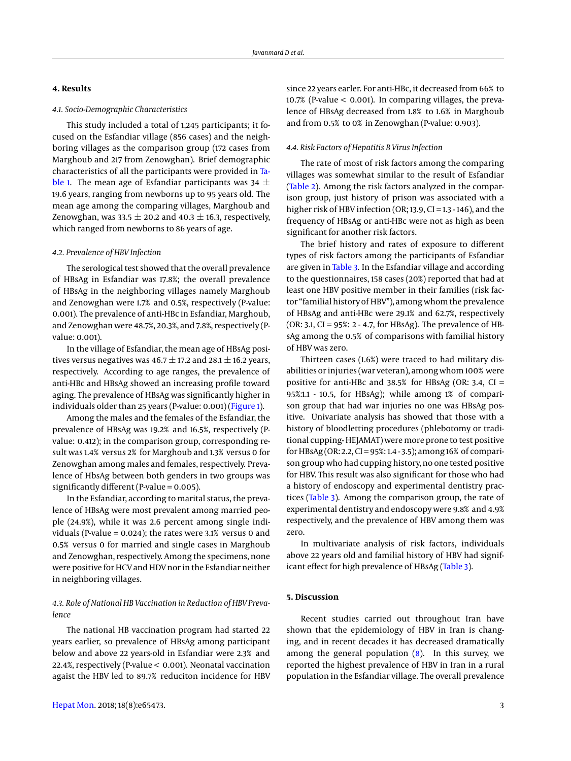# **4. Results**

## *4.1. Socio-Demographic Characteristics*

This study included a total of 1,245 participants; it focused on the Esfandiar village (856 cases) and the neighboring villages as the comparison group (172 cases from Marghoub and 217 from Zenowghan). Brief demographic characteristics of all the participants were provided in [Ta](#page-3-0)[ble 1.](#page-3-0) The mean age of Esfandiar participants was 34  $\pm$ 19.6 years, ranging from newborns up to 95 years old. The mean age among the comparing villages, Marghoub and Zenowghan, was 33.5  $\pm$  20.2 and 40.3  $\pm$  16.3, respectively, which ranged from newborns to 86 years of age.

#### *4.2. Prevalence of HBV Infection*

The serological test showed that the overall prevalence of HBsAg in Esfandiar was 17.8%; the overall prevalence of HBsAg in the neighboring villages namely Marghoub and Zenowghan were 1.7% and 0.5%, respectively (P-value: 0.001). The prevalence of anti-HBc in Esfandiar, Marghoub, and Zenowghan were 48.7%, 20.3%, and 7.8%, respectively (Pvalue: 0.001).

In the village of Esfandiar, the mean age of HBsAg positives versus negatives was 46.7  $\pm$  17.2 and 28.1  $\pm$  16.2 years, respectively. According to age ranges, the prevalence of anti-HBc and HBsAg showed an increasing profile toward aging. The prevalence of HBsAg was significantly higher in individuals older than 25 years (P-value: 0.001) [\(Figure 1\)](#page-3-1).

Among the males and the females of the Esfandiar, the prevalence of HBsAg was 19.2% and 16.5%, respectively (Pvalue: 0.412); in the comparison group, corresponding result was 1.4% versus 2% for Marghoub and 1.3% versus 0 for Zenowghan among males and females, respectively. Prevalence of HbsAg between both genders in two groups was significantly different (P-value = 0.005).

In the Esfandiar, according to marital status, the prevalence of HBsAg were most prevalent among married people (24.9%), while it was 2.6 percent among single individuals (P-value =  $0.024$ ); the rates were 3.1% versus 0 and 0.5% versus 0 for married and single cases in Marghoub and Zenowghan, respectively. Among the specimens, none were positive for HCV and HDV nor in the Esfandiar neither in neighboring villages.

#### *4.3. Role of National HB Vaccination in Reduction of HBV Prevalence*

The national HB vaccination program had started 22 years earlier, so prevalence of HBsAg among participant below and above 22 years-old in Esfandiar were 2.3% and 22.4%, respectively (P-value < 0.001). Neonatal vaccination agaist the HBV led to 89.7% reduciton incidence for HBV

since 22 years earler. For anti-HBc, it decreased from 66% to 10.7% (P-value < 0.001). In comparing villages, the prevalence of HBsAg decreased from 1.8% to 1.6% in Marghoub and from 0.5% to 0% in Zenowghan (P-value: 0.903).

# *4.4. Risk Factors of Hepatitis B Virus Infection*

The rate of most of risk factors among the comparing villages was somewhat similar to the result of Esfandiar [\(Table 2\)](#page-4-0). Among the risk factors analyzed in the comparison group, just history of prison was associated with a higher risk of HBV infection (OR; 13.9, CI = 1.3 - 146), and the frequency of HBsAg or anti-HBc were not as high as been significant for another risk factors.

The brief history and rates of exposure to different types of risk factors among the participants of Esfandiar are given in [Table 3.](#page-5-0) In the Esfandiar village and according to the questionnaires, 158 cases (20%) reported that had at least one HBV positive member in their families (risk factor "familial history of HBV"), among whom the prevalence of HBsAg and anti-HBc were 29.1% and 62.7%, respectively (OR: 3.1, CI = 95%: 2 - 4.7, for HBsAg). The prevalence of HBsAg among the 0.5% of comparisons with familial history of HBV was zero.

Thirteen cases (1.6%) were traced to had military disabilities or injuries (war veteran), among whom 100% were positive for anti-HBc and  $38.5%$  for HBsAg (OR: 3.4, CI = 95%:1.1 - 10.5, for HBsAg); while among 1% of comparison group that had war injuries no one was HBsAg positive. Univariate analysis has showed that those with a history of bloodletting procedures (phlebotomy or traditional cupping- HEJAMAT) were more prone to test positive for HBsAg (OR: 2.2, CI = 95%: 1.4 - 3.5); among 16% of comparison group who had cupping history, no one tested positive for HBV. This result was also significant for those who had a history of endoscopy and experimental dentistry practices [\(Table 3\)](#page-5-0). Among the comparison group, the rate of experimental dentistry and endoscopy were 9.8% and 4.9% respectively, and the prevalence of HBV among them was zero.

In multivariate analysis of risk factors, individuals above 22 years old and familial history of HBV had signif-icant effect for high prevalence of HBsAg [\(Table 3\)](#page-5-0).

# **5. Discussion**

Recent studies carried out throughout Iran have shown that the epidemiology of HBV in Iran is changing, and in recent decades it has decreased dramatically among the general population  $(8)$ . In this survey, we reported the highest prevalence of HBV in Iran in a rural population in the Esfandiar village. The overall prevalence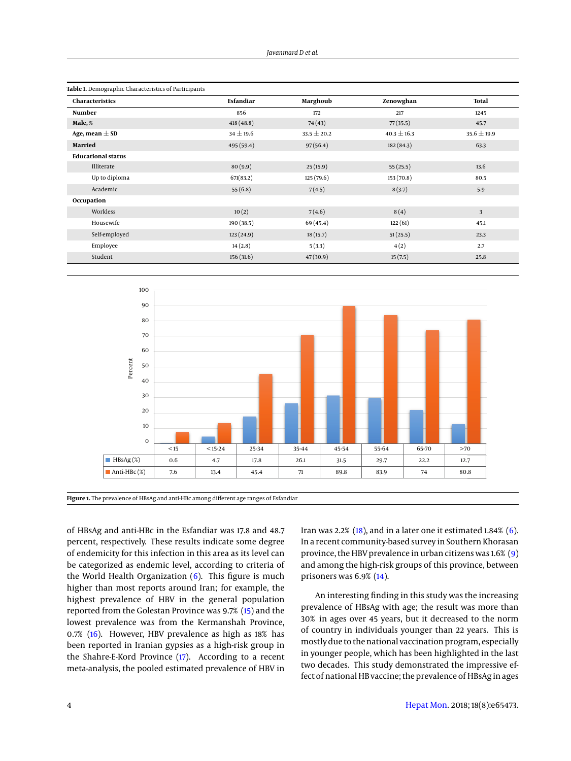<span id="page-3-0"></span>

| Table 1. Demographic Characteristics of Participants |               |                 |                 |                 |  |  |  |
|------------------------------------------------------|---------------|-----------------|-----------------|-----------------|--|--|--|
| <b>Characteristics</b>                               | Esfandiar     | Marghoub        | Zenowghan       | <b>Total</b>    |  |  |  |
| Number                                               | 856           | 172             | 217             | 1245            |  |  |  |
| Male, %                                              | 418 (48.8)    | 74(43)          | 77(35.5)        | 45.7            |  |  |  |
| Age, mean $\pm$ SD                                   | $34 \pm 19.6$ | $33.5 \pm 20.2$ | $40.3 \pm 16.3$ | $35.6 \pm 19.9$ |  |  |  |
| <b>Married</b>                                       | 495 (59.4)    | 97(56.4)        | 182(84.3)       | 63.3            |  |  |  |
| <b>Educational status</b>                            |               |                 |                 |                 |  |  |  |
| Illiterate                                           | 80(9.9)       | 25(15.9)        | 55(25.5)        | 13.6            |  |  |  |
| Up to diploma                                        | 671(83.2)     | 125(79.6)       | 153(70.8)       | 80.5            |  |  |  |
| Academic                                             | 55(6.8)       | 7(4.5)          | 8(3.7)          | 5.9             |  |  |  |
| Occupation                                           |               |                 |                 |                 |  |  |  |
| Workless                                             | 10(2)         | 7(4.6)          | 8(4)            | 3               |  |  |  |
| Housewife                                            | 190 (38.5)    | 69 (45.4)       | 122(61)         | 45.1            |  |  |  |
| Self-employed                                        | 123(24.9)     | 18(15.7)        | 51(25.5)        | 23.3            |  |  |  |
| Employee                                             | 14(2.8)       | 5(3.3)          | 4(2)            | 2.7             |  |  |  |
| Student                                              | 156(31.6)     | 47(30.9)        | 15(7.5)         | 25.8            |  |  |  |

<span id="page-3-1"></span>

**Figure 1.** The prevalence of HBsAg and anti-HBc among different age ranges of Esfandiar

of HBsAg and anti-HBc in the Esfandiar was 17.8 and 48.7 percent, respectively. These results indicate some degree of endemicity for this infection in this area as its level can be categorized as endemic level, according to criteria of the World Health Organization  $(6)$ . This figure is much higher than most reports around Iran; for example, the highest prevalence of HBV in the general population reported from the Golestan Province was 9.7% [\(15\)](#page-7-7) and the lowest prevalence was from the Kermanshah Province, 0.7% [\(16\)](#page-7-8). However, HBV prevalence as high as 18% has been reported in Iranian gypsies as a high-risk group in the Shahre-E-Kord Province [\(17\)](#page-7-9). According to a recent meta-analysis, the pooled estimated prevalence of HBV in

Iran was 2.2%  $(18)$ , and in a later one it estimated 1.84%  $(6)$ . In a recent community-based survey in Southern Khorasan province, the HBV prevalence in urban citizens was 1.6% [\(9\)](#page-7-2) and among the high-risk groups of this province, between prisoners was 6.9% [\(14\)](#page-7-6).

An interesting finding in this study was the increasing prevalence of HBsAg with age; the result was more than 30% in ages over 45 years, but it decreased to the norm of country in individuals younger than 22 years. This is mostly due to the national vaccination program, especially in younger people, which has been highlighted in the last two decades. This study demonstrated the impressive effect of national HB vaccine; the prevalence of HBsAg in ages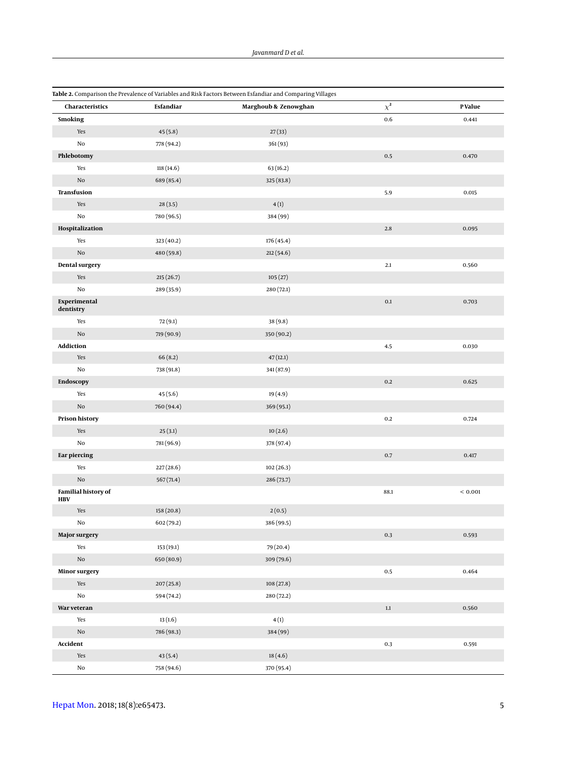<span id="page-4-0"></span>

| Table 2. Comparison the Prevalence of Variables and Risk Factors Between Esfandiar and Comparing Villages |            |                      |          |             |  |  |  |
|-----------------------------------------------------------------------------------------------------------|------------|----------------------|----------|-------------|--|--|--|
| Characteristics                                                                                           | Esfandiar  | Marghoub & Zenowghan | $\chi^2$ | P Value     |  |  |  |
| <b>Smoking</b>                                                                                            |            |                      | 0.6      | 0.441       |  |  |  |
| Yes                                                                                                       | 45(5.8)    | 27(33)               |          |             |  |  |  |
| No                                                                                                        | 778 (94.2) | 361(93)              |          |             |  |  |  |
| Phlebotomy                                                                                                |            |                      | $0.5\,$  | 0.470       |  |  |  |
| Yes                                                                                                       | 118 (14.6) | 63(16.2)             |          |             |  |  |  |
| $\rm No$                                                                                                  | 689 (85.4) | 325(83.8)            |          |             |  |  |  |
| Transfusion                                                                                               |            |                      | 5.9      | 0.015       |  |  |  |
| Yes                                                                                                       | 28(3.5)    | 4(1)                 |          |             |  |  |  |
| $\rm No$                                                                                                  | 780 (96.5) | 384 (99)             |          |             |  |  |  |
| Hospitalization                                                                                           |            |                      | $2.8\,$  | 0.095       |  |  |  |
| Yes                                                                                                       | 323 (40.2) | 176 (45.4)           |          |             |  |  |  |
| $\rm No$                                                                                                  | 480 (59.8) | 212(54.6)            |          |             |  |  |  |
| <b>Dental surgery</b>                                                                                     |            |                      | 2.1      | 0.560       |  |  |  |
| Yes                                                                                                       | 215(26.7)  | 105(27)              |          |             |  |  |  |
| No                                                                                                        | 289 (35.9) | 280 (72.1)           |          |             |  |  |  |
| Experimental<br>dentistry                                                                                 |            |                      | $0.1\,$  | 0.703       |  |  |  |
| Yes                                                                                                       | 72(9.1)    | 38(9.8)              |          |             |  |  |  |
| $\rm No$                                                                                                  | 719 (90.9) | 350 (90.2)           |          |             |  |  |  |
| <b>Addiction</b>                                                                                          |            |                      | $4.5\,$  | 0.030       |  |  |  |
| Yes                                                                                                       | 66(8.2)    | 47(12.1)             |          |             |  |  |  |
| No                                                                                                        | 738 (91.8) | 341 (87.9)           |          |             |  |  |  |
| Endoscopy                                                                                                 |            |                      | $0.2\,$  | 0.625       |  |  |  |
| Yes                                                                                                       | 45(5.6)    | 19(4.9)              |          |             |  |  |  |
| $\rm No$                                                                                                  | 760 (94.4) | 369 (95.1)           |          |             |  |  |  |
| <b>Prison history</b>                                                                                     |            |                      | $0.2\,$  | 0.724       |  |  |  |
| Yes                                                                                                       | 25(3.1)    | 10(2.6)              |          |             |  |  |  |
| No                                                                                                        | 781 (96.9) | 378 (97.4)           |          |             |  |  |  |
| <b>Ear piercing</b>                                                                                       |            |                      | 0.7      | 0.417       |  |  |  |
| Yes                                                                                                       | 227(28.6)  | 102(26.3)            |          |             |  |  |  |
| $\rm No$                                                                                                  | 567(71.4)  | 286 (73.7)           |          |             |  |  |  |
| <b>Familial history of</b><br><b>HBV</b>                                                                  |            |                      | 88.1     | ${}< 0.001$ |  |  |  |
| Yes                                                                                                       | 158(20.8)  | 2(0.5)               |          |             |  |  |  |
| $\rm No$                                                                                                  | 602 (79.2) | 386 (99.5)           |          |             |  |  |  |
| <b>Major surgery</b>                                                                                      |            |                      | $0.3\,$  | 0.593       |  |  |  |
| Yes                                                                                                       | 153(19.1)  | 79 (20.4)            |          |             |  |  |  |
| $\rm No$                                                                                                  | 650 (80.9) | 309 (79.6)           |          |             |  |  |  |
| <b>Minor surgery</b>                                                                                      |            |                      | $0.5\,$  | 0.464       |  |  |  |
| Yes                                                                                                       | 207(25.8)  | 108(27.8)            |          |             |  |  |  |
| $\rm No$                                                                                                  | 594 (74.2) | 280 (72.2)           |          |             |  |  |  |
| War veteran                                                                                               |            |                      | $1.1\,$  | 0.560       |  |  |  |
| Yes                                                                                                       | 13(1.6)    | 4(1)                 |          |             |  |  |  |
| $\rm No$                                                                                                  | 786 (98.3) | 384 (99)             |          |             |  |  |  |
| Accident                                                                                                  |            |                      | $0.3\,$  | 0.591       |  |  |  |
| Yes                                                                                                       | 43(5.4)    | 18(4.6)              |          |             |  |  |  |
| No                                                                                                        | 758 (94.6) | 370 (95.4)           |          |             |  |  |  |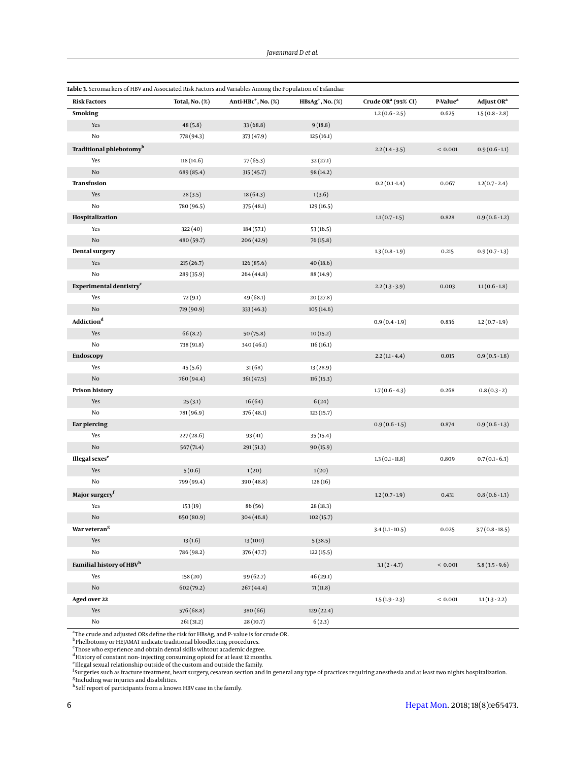<span id="page-5-0"></span>

| Table 3. Seromarkers of HBV and Associated Risk Factors and Variables Among the Population of Esfandiar |                   |                            |                        |                                |                      |                        |
|---------------------------------------------------------------------------------------------------------|-------------------|----------------------------|------------------------|--------------------------------|----------------------|------------------------|
| <b>Risk Factors</b>                                                                                     | Total, No. $(\%)$ | Anti-HB $c^+$ , No. $(\%)$ | $HBSAg^+$ , No. $(\%)$ | Crude OR <sup>a</sup> (95% CI) | P-Value <sup>a</sup> | Adjust OR <sup>a</sup> |
| <b>Smoking</b>                                                                                          |                   |                            |                        | $1.2(0.6-2.5)$                 | 0.625                | $1.5(0.8 - 2.8)$       |
| Yes                                                                                                     | 48(5.8)           | 33(68.8)                   | 9(18.8)                |                                |                      |                        |
| No                                                                                                      | 778 (94.3)        | 373 (47.9)                 | 125(16.1)              |                                |                      |                        |
| Traditional phlebotomy <sup>b</sup>                                                                     |                   |                            |                        | $2.2(1.4-3.5)$                 | ${}< 0.001$          | $0.9(0.6 - 1.1)$       |
| Yes                                                                                                     | 118(14.6)         | 77(65.3)                   | 32(27.1)               |                                |                      |                        |
| $\rm No$                                                                                                | 689 (85.4)        | 315(45.7)                  | 98 (14.2)              |                                |                      |                        |
| Transfusion                                                                                             |                   |                            |                        | $0.2(0.1 - 1.4)$               | 0.067                | $1.2(0.7 - 2.4)$       |
| Yes                                                                                                     | 28(3.5)           | 18(64.3)                   | 1(3.6)                 |                                |                      |                        |
| No                                                                                                      | 780 (96.5)        | 375 (48.1)                 | 129 (16.5)             |                                |                      |                        |
| Hospitalization                                                                                         |                   |                            |                        | $1.1(0.7-1.5)$                 | 0.828                | $0.9(0.6-1.2)$         |
| Yes                                                                                                     | 322(40)           | 184 (57.1)                 | 53 (16.5)              |                                |                      |                        |
| $\rm No$                                                                                                | 480 (59.7)        | 206 (42.9)                 | 76(15.8)               |                                |                      |                        |
| <b>Dental surgery</b>                                                                                   |                   |                            |                        | $1.3(0.8-1.9)$                 | 0.215                | $0.9(0.7-1.3)$         |
| Yes                                                                                                     | 215(26.7)         | 126(85.6)                  | 40(18.6)               |                                |                      |                        |
| No                                                                                                      | 289 (35.9)        | 264 (44.8)                 | 88 (14.9)              |                                |                      |                        |
| Experimental dentistry <sup>c</sup>                                                                     |                   |                            |                        | $2.2(1.3-3.9)$                 | 0.003                | $1.1(0.6-1.8)$         |
| Yes                                                                                                     | 72(9.1)           | 49 (68.1)                  | 20(27.8)               |                                |                      |                        |
| $\rm No$                                                                                                | 719 (90.9)        | 333 (46.3)                 | 105(14.6)              |                                |                      |                        |
| $\operatorname{\bf Addition}^{\operatorname{\mathbf{d}}}$                                               |                   |                            |                        | $0.9(0.4-1.9)$                 | 0.836                | $1.2(0.7-1.9)$         |
| Yes                                                                                                     | 66(8.2)           | 50(75.8)                   | 10(15.2)               |                                |                      |                        |
| No                                                                                                      | 738 (91.8)        | 340 (46.1)                 | 116(16.1)              |                                |                      |                        |
| <b>Endoscopy</b>                                                                                        |                   |                            |                        | $2.2(1.1 - 4.4)$               | 0.015                | $0.9(0.5 - 1.8)$       |
| Yes                                                                                                     | 45 (5.6)          | 31(68)                     | 13 (28.9)              |                                |                      |                        |
| $\rm No$                                                                                                | 760 (94.4)        | 361 (47.5)                 | 116(15.3)              |                                |                      |                        |
| <b>Prison history</b>                                                                                   |                   |                            |                        | $1.7(0.6 - 4.3)$               | 0.268                | $0.8(0.3-2)$           |
| Yes                                                                                                     | 25(3.1)           | 16(64)                     | 6(24)                  |                                |                      |                        |
| No                                                                                                      | 781 (96.9)        | 376 (48.1)                 | 123(15.7)              |                                |                      |                        |
| <b>Ear piercing</b>                                                                                     |                   |                            |                        | $0.9(0.6-1.5)$                 | 0.874                | $0.9(0.6-1.3)$         |
| Yes                                                                                                     | 227(28.6)         | 93(41)                     | 35(15.4)               |                                |                      |                        |
| $\rm No$                                                                                                | 567(71.4)         | 291 (51.3)                 | 90(15.9)               |                                |                      |                        |
| Illegal sexes <sup>e</sup>                                                                              |                   |                            |                        | $1.3(0.1-11.8)$                | 0.809                | $0.7(0.1 - 6.3)$       |
| Yes                                                                                                     | 5(0.6)            | 1(20)                      | 1(20)                  |                                |                      |                        |
| No                                                                                                      | 799 (99.4)        | 390 (48.8)                 | 128(16)                |                                |                      |                        |
| Major surgery <sup>f</sup>                                                                              |                   |                            |                        | $1.2(0.7-1.9)$                 | 0.431                | $0.8(0.6-1.3)$         |
| Yes                                                                                                     | 153(19)           | 86 (56)                    | 28 (18.3)              |                                |                      |                        |
| $\rm No$                                                                                                | 650 (80.9)        | 304 (46.8)                 | 102(15.7)              |                                |                      |                        |
| War veteran <sup>g</sup>                                                                                |                   |                            |                        | $3.4(1.1-10.5)$                | 0.025                | $3.7(0.8 - 18.5)$      |
| Yes                                                                                                     | 13(1.6)           | 13(100)                    | 5(38.5)                |                                |                      |                        |
| $\rm No$                                                                                                | 786 (98.2)        | 376 (47.7)                 | 122 (15.5)             |                                |                      |                        |
| Familial history of HBV <sup>h</sup>                                                                    |                   |                            |                        | $3.1(2-4.7)$                   | ${}< 0.001$          | $5.8(3.5-9.6)$         |
| Yes                                                                                                     | 158(20)           | 99 (62.7)                  | 46(29.1)               |                                |                      |                        |
| $\rm No$                                                                                                | 602(79.2)         | 267(44.4)                  | 71(11.8)               |                                |                      |                        |
| Aged over 22                                                                                            |                   |                            |                        | $1.5(1.9-2.3)$                 | < 0.001              | $1.1(1.3 - 2.2)$       |
| Yes                                                                                                     | 576 (68.8)        | 380(66)                    | 129 (22.4)             |                                |                      |                        |
| $\rm No$                                                                                                | 261 (31.2)        | 28(10.7)                   | 6(2.3)                 |                                |                      |                        |

<sup>a</sup>The crude and adjusted ORs define the risk for HBsAg, and P- value is for crude OR.<br><sup>b</sup> Phelbotomy or HEJAMAT indicate traditional bloodletting procedures.

<sup>c</sup>Those who experience and obtain dental skills wihtout academic degree.<br><sup>d</sup>History of constant non-injecting consuming opioid for at least 12 months.<br><sup>f</sup>Illegal sexual relationship outside of the custom and outside the f <sup>g</sup>Including war injuries and disabilities.<br><sup>h</sup>Self report of participants from a known HBV case in the family.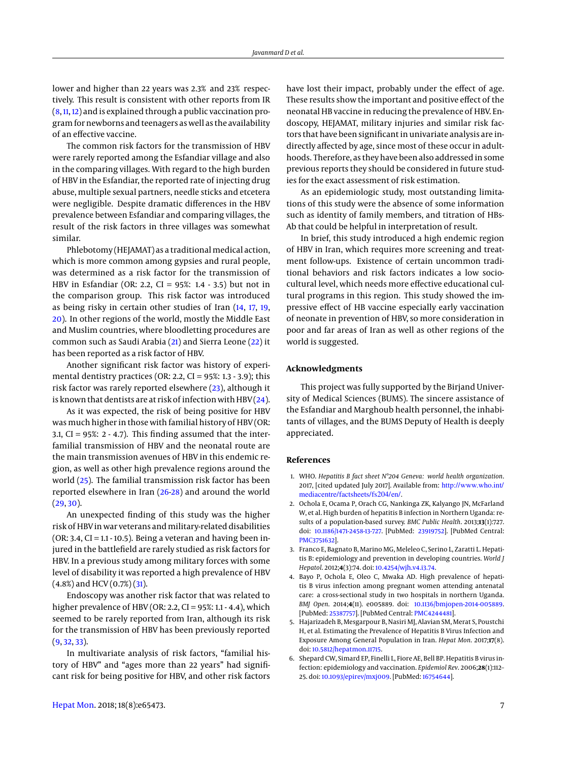lower and higher than 22 years was 2.3% and 23% respectively. This result is consistent with other reports from IR [\(8,](#page-7-1) [11,](#page-7-4) [12\)](#page-7-11) and is explained through a public vaccination program for newborns and teenagers as well as the availability of an effective vaccine.

The common risk factors for the transmission of HBV were rarely reported among the Esfandiar village and also in the comparing villages. With regard to the high burden of HBV in the Esfandiar, the reported rate of injecting drug abuse, multiple sexual partners, needle sticks and etcetera were negligible. Despite dramatic differences in the HBV prevalence between Esfandiar and comparing villages, the result of the risk factors in three villages was somewhat similar.

Phlebotomy (HEJAMAT) as a traditional medical action, which is more common among gypsies and rural people, was determined as a risk factor for the transmission of HBV in Esfandiar (OR: 2.2, CI = 95%: 1.4 - 3.5) but not in the comparison group. This risk factor was introduced as being risky in certain other studies of Iran [\(14,](#page-7-6) [17,](#page-7-9) [19,](#page-7-12) [20\)](#page-7-13). In other regions of the world, mostly the Middle East and Muslim countries, where bloodletting procedures are common such as Saudi Arabia [\(21\)](#page-7-14) and Sierra Leone [\(22\)](#page-7-15) it has been reported as a risk factor of HBV.

Another significant risk factor was history of experimental dentistry practices (OR: 2.2, CI =  $95\%$ : 1.3 - 3.9); this risk factor was rarely reported elsewhere [\(23\)](#page-7-16), although it is known that dentists are at risk of infection with HBV [\(24\)](#page-7-17).

As it was expected, the risk of being positive for HBV was much higher in those with familial history of HBV (OR: 3.1,  $CI = 95\%$ : 2 - 4.7). This finding assumed that the interfamilial transmission of HBV and the neonatal route are the main transmission avenues of HBV in this endemic region, as well as other high prevalence regions around the world [\(25\)](#page-7-18). The familial transmission risk factor has been reported elsewhere in Iran [\(26-](#page-7-19)[28\)](#page-7-20) and around the world  $(29, 30)$  $(29, 30)$  $(29, 30)$ .

An unexpected finding of this study was the higher risk of HBV in war veterans and military-related disabilities  $(OR: 3.4, CI = 1.1 - 10.5)$ . Being a veteran and having been injured in the battlefield are rarely studied as risk factors for HBV. In a previous study among military forces with some level of disability it was reported a high prevalence of HBV  $(4.8\%)$  and HCV  $(0.7\%)$   $(31)$ .

Endoscopy was another risk factor that was related to higher prevalence of HBV (OR: 2.2, CI = 95%: 1.1 - 4.4), which seemed to be rarely reported from Iran, although its risk for the transmission of HBV has been previously reported  $(9, 32, 33)$  $(9, 32, 33)$  $(9, 32, 33)$  $(9, 32, 33)$  $(9, 32, 33)$ .

In multivariate analysis of risk factors, "familial history of HBV" and "ages more than 22 years" had significant risk for being positive for HBV, and other risk factors

have lost their impact, probably under the effect of age. These results show the important and positive effect of the neonatal HB vaccine in reducing the prevalence of HBV. Endoscopy, HEJAMAT, military injuries and similar risk factors that have been significant in univariate analysis are indirectly affected by age, since most of these occur in adulthoods. Therefore, as they have been also addressed in some previous reports they should be considered in future studies for the exact assessment of risk estimation.

As an epidemiologic study, most outstanding limitations of this study were the absence of some information such as identity of family members, and titration of HBs-Ab that could be helpful in interpretation of result.

In brief, this study introduced a high endemic region of HBV in Iran, which requires more screening and treatment follow-ups. Existence of certain uncommon traditional behaviors and risk factors indicates a low sociocultural level, which needs more effective educational cultural programs in this region. This study showed the impressive effect of HB vaccine especially early vaccination of neonate in prevention of HBV, so more consideration in poor and far areas of Iran as well as other regions of the world is suggested.

## **Acknowledgments**

This project was fully supported by the Birjand University of Medical Sciences (BUMS). The sincere assistance of the Esfandiar and Marghoub health personnel, the inhabitants of villages, and the BUMS Deputy of Health is deeply appreciated.

#### **References**

- <span id="page-6-0"></span>1. WHO. *Hepatitis B fact sheet N°204 Geneva: world health organization*. 2017, [cited updated July 2017]. Available from: [http://www.who.int/](http://www.who.int/mediacentre/factsheets/fs204/en/) [mediacentre/factsheets/fs204/en/](http://www.who.int/mediacentre/factsheets/fs204/en/).
- <span id="page-6-1"></span>2. Ochola E, Ocama P, Orach CG, Nankinga ZK, Kalyango JN, McFarland W, et al. High burden of hepatitis B infection in Northern Uganda: results of a population-based survey. *BMC Public Health*. 2013;**13**(1):727. doi: [10.1186/1471-2458-13-727.](http://dx.doi.org/10.1186/1471-2458-13-727) [PubMed: [23919752\]](http://www.ncbi.nlm.nih.gov/pubmed/23919752). [PubMed Central: [PMC3751632\]](https://www.ncbi.nlm.nih.gov/pmc/articles/PMC3751632).
- <span id="page-6-2"></span>3. Franco E, Bagnato B, Marino MG, Meleleo C, Serino L, Zaratti L. Hepatitis B: epidemiology and prevention in developing countries. *World J Hepatol*. 2012;**4**(3):74. doi: [10.4254/wjh.v4.i3.74.](http://dx.doi.org/10.4254/wjh.v4.i3.74)
- <span id="page-6-3"></span>4. Bayo P, Ochola E, Oleo C, Mwaka AD. High prevalence of hepatitis B virus infection among pregnant women attending antenatal care: a cross-sectional study in two hospitals in northern Uganda. *BMJ Open*. 2014;**4**(11). e005889. doi: [10.1136/bmjopen-2014-005889.](http://dx.doi.org/10.1136/bmjopen-2014-005889) [PubMed: [25387757\]](http://www.ncbi.nlm.nih.gov/pubmed/25387757). [PubMed Central: [PMC4244481\]](https://www.ncbi.nlm.nih.gov/pmc/articles/PMC4244481).
- <span id="page-6-4"></span>5. Hajarizadeh B, Mesgarpour B, Nasiri MJ, Alavian SM, Merat S, Poustchi H, et al. Estimating the Prevalence of Hepatitis B Virus Infection and Exposure Among General Population in Iran. *Hepat Mon*. 2017;**17**(8). doi: [10.5812/hepatmon.11715.](http://dx.doi.org/10.5812/hepatmon.11715)
- <span id="page-6-5"></span>6. Shepard CW, Simard EP, Finelli L, Fiore AE, Bell BP. Hepatitis B virus infection: epidemiology and vaccination. *Epidemiol Rev*. 2006;**28**(1):112– 25. doi: [10.1093/epirev/mxj009.](http://dx.doi.org/10.1093/epirev/mxj009) [PubMed: [16754644\]](http://www.ncbi.nlm.nih.gov/pubmed/16754644).